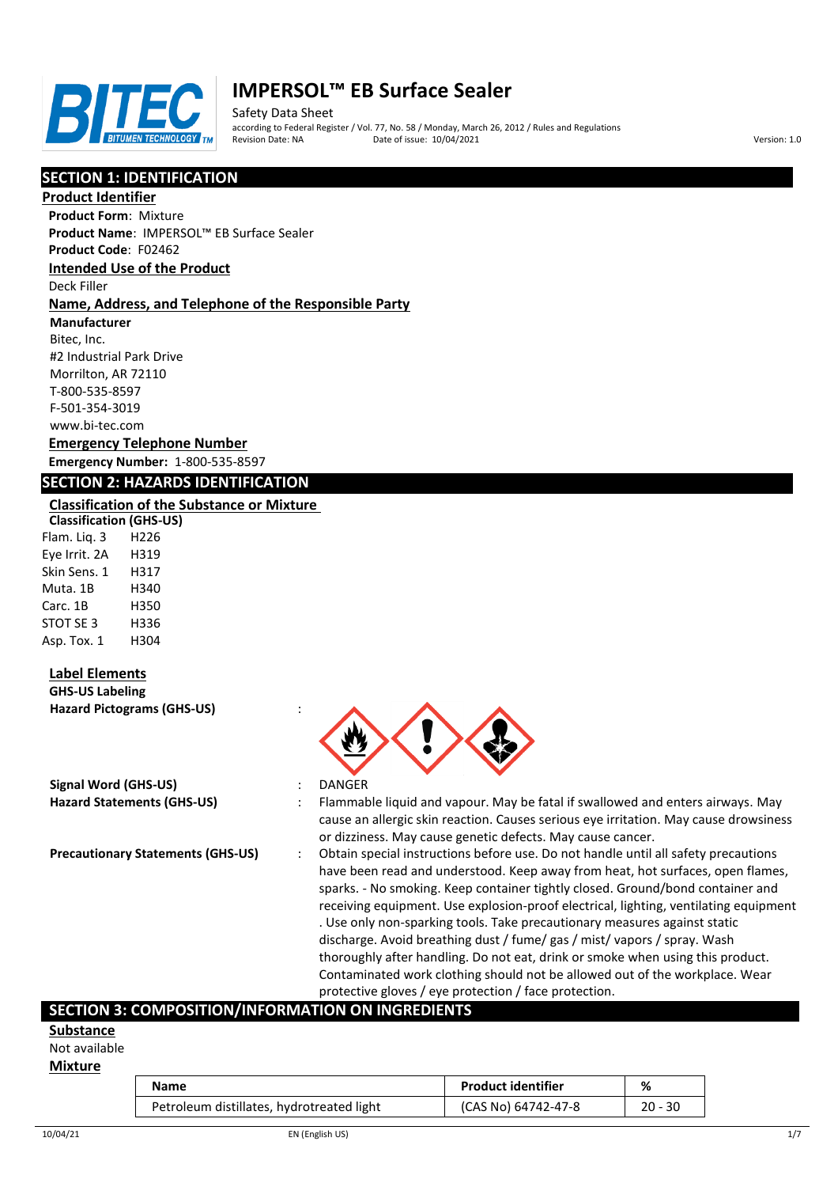

Safety Data Sheet according to Federal Register / Vol. 77, No. 58 / Monday, March 26, 2012 / Rules and Regulations Pate of issue: 10/04/2021 **Version: 1.0** 

# **SECTION 1: IDENTIFICATION**

#### **Product Identifier**

**Product Form**: Mixture **Product Name**: IMPERSOL™ EB Surface Sealer

**Product Code**: F02462

#### **Intended Use of the Product**

Deck Filler

#### **Name, Address, and Telephone of the Responsible Party**

**Manufacturer**

Bitec, Inc. #2 Industrial Park Drive Morrilton, AR 72110 T-800-535-8597 F-501-354-3019 www.bi-tec.com

#### **Emergency Telephone Number Emergency Number:** 1-800-535-8597

#### **SECTION 2: HAZARDS IDENTIFICATION**

#### **Classification of the Substance or Mixture**

**Classification (GHS-US)** Flam. Liq. 3 H226 Eye Irrit. 2A H319 Skin Sens. 1 H317 Muta. 1B H340 Carc. 1B H350 STOT SE 3 H336 Asp. Tox. 1 H304

# **Label Elements**

**GHS-US Labeling Hazard Pictograms (GHS-US)** :

| Signal Word (GHS-US) |                                   |
|----------------------|-----------------------------------|
|                      | <b>Hazard Statements (GHS-US)</b> |

- 
- **Signal Word (GHS-US)** : DANGER
- : Flammable liquid and vapour. May be fatal if swallowed and enters airways. May cause an allergic skin reaction. Causes serious eye irritation. May cause drowsiness or dizziness. May cause genetic defects. May cause cancer.
- **Precautionary Statements (GHS-US)** : Obtain special instructions before use. Do not handle until all safety precautions have been read and understood. Keep away from heat, hot surfaces, open flames, sparks. - No smoking. Keep container tightly closed. Ground/bond container and receiving equipment. Use explosion-proof electrical, lighting, ventilating equipment . Use only non-sparking tools. Take precautionary measures against static discharge. Avoid breathing dust / fume/ gas / mist/ vapors / spray. Wash thoroughly after handling. Do not eat, drink or smoke when using this product. Contaminated work clothing should not be allowed out of the workplace. Wear protective gloves / eye protection / face protection.

# **SECTION 3: COMPOSITION/INFORMATION ON INGREDIENTS**

#### **Substance**

Not available

#### **Mixture**

| Name                                      | <b>Product identifier</b> | %         |
|-------------------------------------------|---------------------------|-----------|
| Petroleum distillates, hydrotreated light | (CAS No) 64742-47-8       | $20 - 30$ |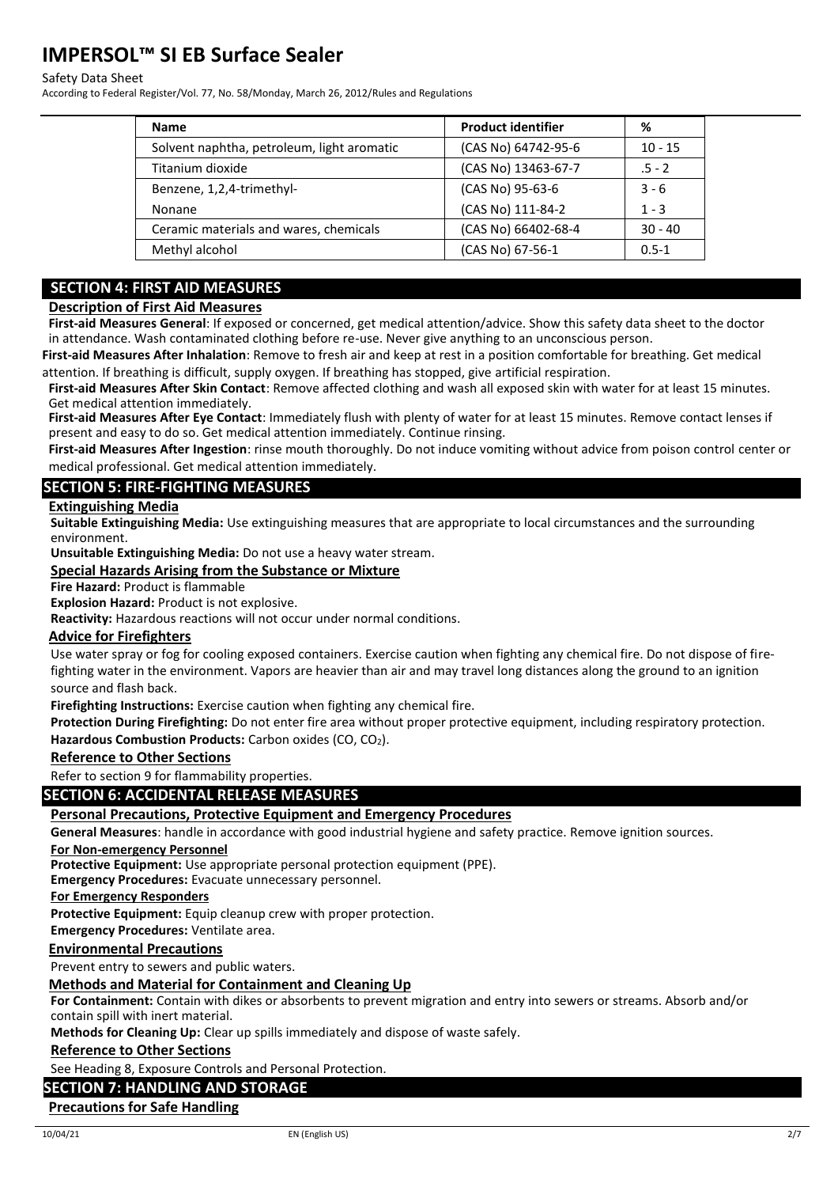#### Safety Data Sheet

According to Federal Register/Vol. 77, No. 58/Monday, March 26, 2012/Rules and Regulations

| <b>Name</b>                                | <b>Product identifier</b> | %         |
|--------------------------------------------|---------------------------|-----------|
| Solvent naphtha, petroleum, light aromatic | (CAS No) 64742-95-6       | $10 - 15$ |
| Titanium dioxide                           | (CAS No) 13463-67-7       | $.5 - 2$  |
| Benzene, 1,2,4-trimethyl-                  | (CAS No) 95-63-6          | $3 - 6$   |
| Nonane                                     | (CAS No) 111-84-2         | $1 - 3$   |
| Ceramic materials and wares, chemicals     | (CAS No) 66402-68-4       | $30 - 40$ |
| Methyl alcohol                             | (CAS No) 67-56-1          | $0.5 - 1$ |

# **SECTION 4: FIRST AID MEASURES**

#### **Description of First Aid Measures**

**First-aid Measures General**: If exposed or concerned, get medical attention/advice. Show this safety data sheet to the doctor in attendance. Wash contaminated clothing before re-use. Never give anything to an unconscious person.

**First-aid Measures After Inhalation**: Remove to fresh air and keep at rest in a position comfortable for breathing. Get medical attention. If breathing is difficult, supply oxygen. If breathing has stopped, give artificial respiration.

**First-aid Measures After Skin Contact**: Remove affected clothing and wash all exposed skin with water for at least 15 minutes. Get medical attention immediately.

**First-aid Measures After Eye Contact**: Immediately flush with plenty of water for at least 15 minutes. Remove contact lenses if present and easy to do so. Get medical attention immediately. Continue rinsing.

**First-aid Measures After Ingestion**: rinse mouth thoroughly. Do not induce vomiting without advice from poison control center or medical professional. Get medical attention immediately.

#### **SECTION 5: FIRE-FIGHTING MEASURES**

#### **Extinguishing Media**

**Suitable Extinguishing Media:** Use extinguishing measures that are appropriate to local circumstances and the surrounding environment.

**Unsuitable Extinguishing Media:** Do not use a heavy water stream.

#### **Special Hazards Arising from the Substance or Mixture**

#### **Fire Hazard:** Product is flammable

**Explosion Hazard:** Product is not explosive.

**Reactivity:** Hazardous reactions will not occur under normal conditions.

#### **Advice for Firefighters**

Use water spray or fog for cooling exposed containers. Exercise caution when fighting any chemical fire. Do not dispose of firefighting water in the environment. Vapors are heavier than air and may travel long distances along the ground to an ignition source and flash back.

**Firefighting Instructions:** Exercise caution when fighting any chemical fire.

**Protection During Firefighting:** Do not enter fire area without proper protective equipment, including respiratory protection. Hazardous Combustion Products: Carbon oxides (CO, CO<sub>2</sub>).

#### **Reference to Other Sections**

Refer to section 9 for flammability properties.

# **SECTION 6: ACCIDENTAL RELEASE MEASURES**

#### **Personal Precautions, Protective Equipment and Emergency Procedures**

**General Measures**: handle in accordance with good industrial hygiene and safety practice. Remove ignition sources.

#### **For Non-emergency Personnel**

**Protective Equipment:** Use appropriate personal protection equipment (PPE).

**Emergency Procedures:** Evacuate unnecessary personnel.

**For Emergency Responders**

**Protective Equipment:** Equip cleanup crew with proper protection.

**Emergency Procedures:** Ventilate area.

#### **Environmental Precautions**

Prevent entry to sewers and public waters.

#### **Methods and Material for Containment and Cleaning Up**

**For Containment:** Contain with dikes or absorbents to prevent migration and entry into sewers or streams. Absorb and/or contain spill with inert material.

**Methods for Cleaning Up:** Clear up spills immediately and dispose of waste safely.

#### **Reference to Other Sections**

See Heading 8, Exposure Controls and Personal Protection.

#### **SECTION 7: HANDLING AND STORAGE**

#### **Precautions for Safe Handling**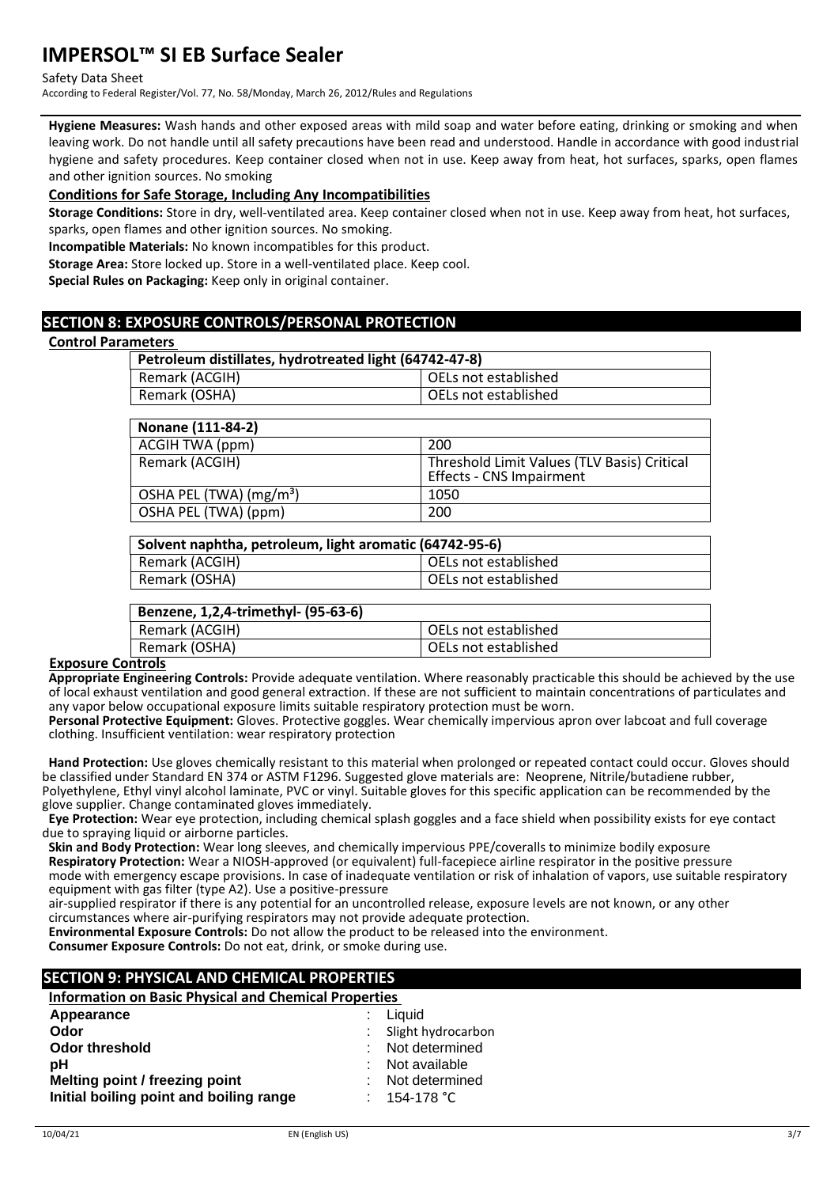Safety Data Sheet

According to Federal Register/Vol. 77, No. 58/Monday, March 26, 2012/Rules and Regulations

**Hygiene Measures:** Wash hands and other exposed areas with mild soap and water before eating, drinking or smoking and when leaving work. Do not handle until all safety precautions have been read and understood. Handle in accordance with good industrial hygiene and safety procedures. Keep container closed when not in use. Keep away from heat, hot surfaces, sparks, open flames and other ignition sources. No smoking

#### **Conditions for Safe Storage, Including Any Incompatibilities**

**Storage Conditions:** Store in dry, well-ventilated area. Keep container closed when not in use. Keep away from heat, hot surfaces, sparks, open flames and other ignition sources. No smoking.

**Incompatible Materials:** No known incompatibles for this product.

**Storage Area:** Store locked up. Store in a well-ventilated place. Keep cool.

**Special Rules on Packaging:** Keep only in original container.

# **SECTION 8: EXPOSURE CONTROLS/PERSONAL PROTECTION**

#### **Control Parameters**

| Petroleum distillates, hydrotreated light (64742-47-8) |                      |  |
|--------------------------------------------------------|----------------------|--|
| Remark (ACGIH)                                         | OELs not established |  |
| Remark (OSHA)                                          | OELs not established |  |
|                                                        |                      |  |

| Nonane (111-84-2)                   |                                                                         |
|-------------------------------------|-------------------------------------------------------------------------|
| ACGIH TWA (ppm)                     | 200                                                                     |
| Remark (ACGIH)                      | Threshold Limit Values (TLV Basis) Critical<br>Effects - CNS Impairment |
| OSHA PEL (TWA) (mg/m <sup>3</sup> ) | 1050                                                                    |
| OSHA PEL (TWA) (ppm)                | 200                                                                     |

# **Solvent naphtha, petroleum, light aromatic (64742-95-6)**  $\overline{\phantom{a}}$  OELs not established

|               | o LLJ Hot columnuled |
|---------------|----------------------|
| Remark (OSHA) | OELs not established |
|               |                      |

| Benzene, 1,2,4-trimethyl- (95-63-6) |                        |
|-------------------------------------|------------------------|
| Remark (ACGIH)                      | l OELs not established |
| Remark (OSHA)                       | OELs not established   |
| . .                                 |                        |

#### **Exposure Controls**

**Appropriate Engineering Controls:** Provide adequate ventilation. Where reasonably practicable this should be achieved by the use of local exhaust ventilation and good general extraction. If these are not sufficient to maintain concentrations of particulates and any vapor below occupational exposure limits suitable respiratory protection must be worn.

**Personal Protective Equipment:** Gloves. Protective goggles. Wear chemically impervious apron over labcoat and full coverage clothing. Insufficient ventilation: wear respiratory protection

**Hand Protection:** Use gloves chemically resistant to this material when prolonged or repeated contact could occur. Gloves should be classified under Standard EN 374 or ASTM F1296. Suggested glove materials are: Neoprene, Nitrile/butadiene rubber, Polyethylene, Ethyl vinyl alcohol laminate, PVC or vinyl. Suitable gloves for this specific application can be recommended by the glove supplier. Change contaminated gloves immediately.

**Eye Protection:** Wear eye protection, including chemical splash goggles and a face shield when possibility exists for eye contact due to spraying liquid or airborne particles.

**Skin and Body Protection:** Wear long sleeves, and chemically impervious PPE/coveralls to minimize bodily exposure **Respiratory Protection:** Wear a NIOSH-approved (or equivalent) full-facepiece airline respirator in the positive pressure mode with emergency escape provisions. In case of inadequate ventilation or risk of inhalation of vapors, use suitable respiratory equipment with gas filter (type A2). Use a positive-pressure

air-supplied respirator if there is any potential for an uncontrolled release, exposure levels are not known, or any other circumstances where air-purifying respirators may not provide adequate protection.

**Environmental Exposure Controls:** Do not allow the product to be released into the environment.

**Consumer Exposure Controls:** Do not eat, drink, or smoke during use.

# **SECTION 9: PHYSICAL AND CHEMICAL PROPERTIES**

**Information on Basic Physical and Chemical Properties** 

| Appearance                              | Liquid               |
|-----------------------------------------|----------------------|
| Odor                                    | Slight hydrocarbon   |
| <b>Odor threshold</b>                   | : Not determined     |
| pН                                      | Not available        |
| Melting point / freezing point          | Not determined       |
| Initial boiling point and boiling range | 154-178 $^{\circ}$ C |
|                                         |                      |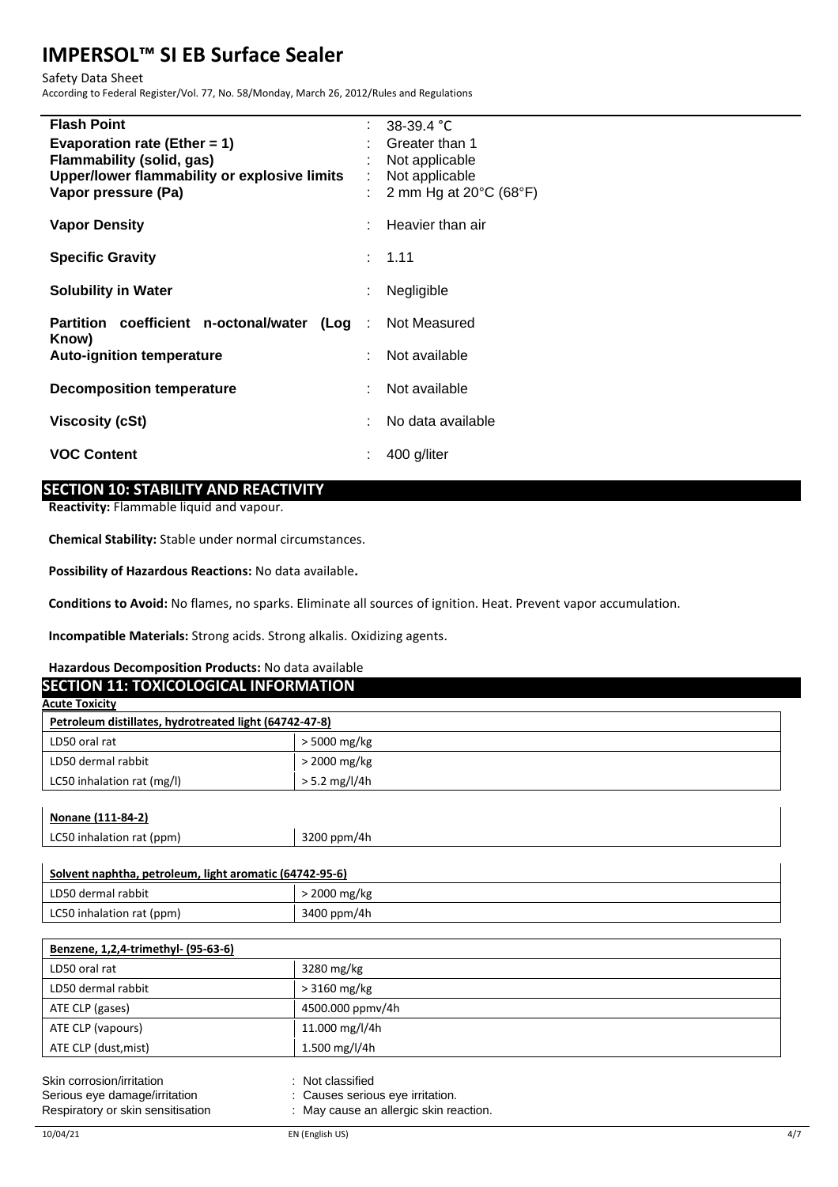Safety Data Sheet

According to Federal Register/Vol. 77, No. 58/Monday, March 26, 2012/Rules and Regulations

| <b>Flash Point</b>                                               |    | : $38-39.4$ °C                              |
|------------------------------------------------------------------|----|---------------------------------------------|
| Evaporation rate (Ether = $1$ )                                  |    | Greater than 1                              |
| <b>Flammability (solid, gas)</b>                                 |    | Not applicable                              |
| Upper/lower flammability or explosive limits                     | t. | Not applicable                              |
| Vapor pressure (Pa)                                              |    | 2 mm Hg at $20^{\circ}$ C (68 $^{\circ}$ F) |
| <b>Vapor Density</b>                                             |    | Heavier than air                            |
|                                                                  |    |                                             |
| <b>Specific Gravity</b>                                          |    | : 1.11                                      |
|                                                                  |    |                                             |
| <b>Solubility in Water</b>                                       |    | Negligible                                  |
| <b>Partition coefficient n-octonal/water (Log</b> : Not Measured |    |                                             |
| Know)                                                            |    |                                             |
| <b>Auto-ignition temperature</b>                                 |    | Not available                               |
| <b>Decomposition temperature</b>                                 |    | Not available                               |
|                                                                  |    |                                             |
| <b>Viscosity (cSt)</b>                                           |    | No data available                           |
| <b>VOC Content</b>                                               |    | 400 g/liter                                 |
|                                                                  |    |                                             |

# **SECTION 10: STABILITY AND REACTIVITY**

**Reactivity:** Flammable liquid and vapour.

**Chemical Stability:** Stable under normal circumstances.

**Possibility of Hazardous Reactions:** No data available**.**

**Conditions to Avoid:** No flames, no sparks. Eliminate all sources of ignition. Heat. Prevent vapor accumulation.

**Incompatible Materials:** Strong acids. Strong alkalis. Oxidizing agents.

#### **Hazardous Decomposition Products:** No data available **SECTION 11: TOXICOLOGICAL INFORMATION**

| <u>SECHON II: TOMCOLOGICAL INI OMMANON</u>             |                 |  |
|--------------------------------------------------------|-----------------|--|
| <b>Acute Toxicity</b>                                  |                 |  |
| Petroleum distillates, hydrotreated light (64742-47-8) |                 |  |
| LD50 oral rat                                          | > 5000 mg/kg    |  |
| LD50 dermal rabbit                                     | $>$ 2000 mg/kg  |  |
| LC50 inhalation rat (mg/l)                             | $> 5.2$ mg/l/4h |  |
|                                                        |                 |  |

| <u>Nonane (111-84-2)</u>  |             |  |
|---------------------------|-------------|--|
| LC50 inhalation rat (ppm) | 3200 ppm/4h |  |
|                           |             |  |

| Solvent naphtha, petroleum, light aromatic (64742-95-6) |              |  |
|---------------------------------------------------------|--------------|--|
| LD50 dermal rabbit                                      | > 2000 mg/kg |  |
| LC50 inhalation rat (ppm)                               | 3400 ppm/4h  |  |

| Benzene, 1,2,4-trimethyl- (95-63-6)                        |                                                  |  |  |
|------------------------------------------------------------|--------------------------------------------------|--|--|
| LD50 oral rat                                              | 3280 mg/kg                                       |  |  |
| LD50 dermal rabbit                                         | $>3160$ mg/kg                                    |  |  |
| ATE CLP (gases)                                            | 4500.000 ppmv/4h                                 |  |  |
| ATE CLP (vapours)                                          | 11.000 mg/l/4h                                   |  |  |
| ATE CLP (dust, mist)                                       | 1.500 mg/l/4h                                    |  |  |
| Skin corrosion/irritation<br>Serious eye damage/irritation | Not classified<br>Causes serious eye irritation. |  |  |

Respiratory or skin sensitisation : May cause an allergic skin reaction.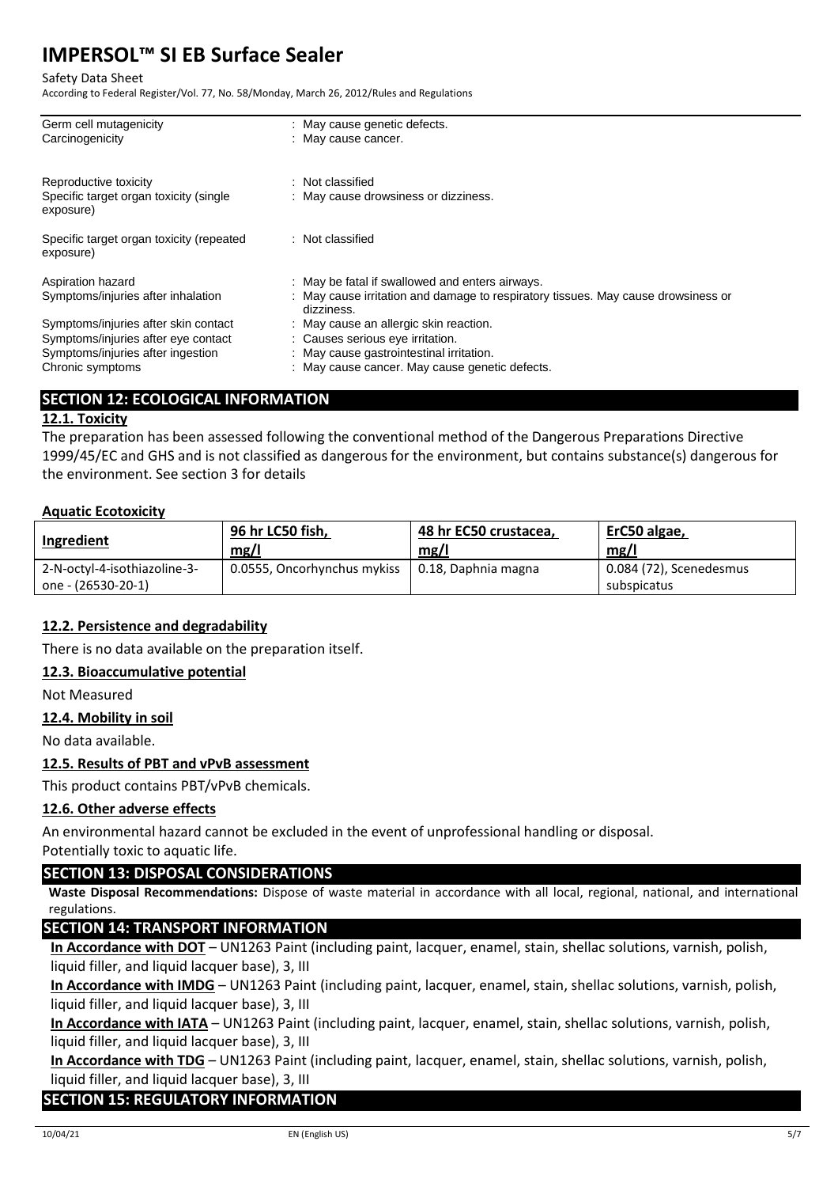Safety Data Sheet

According to Federal Register/Vol. 77, No. 58/Monday, March 26, 2012/Rules and Regulations

| Germ cell mutagenicity                                | : May cause genetic defects.                                                                    |
|-------------------------------------------------------|-------------------------------------------------------------------------------------------------|
| Carcinogenicity                                       | : May cause cancer.                                                                             |
| Reproductive toxicity                                 | Not classified                                                                                  |
| Specific target organ toxicity (single<br>exposure)   | : May cause drowsiness or dizziness.                                                            |
| Specific target organ toxicity (repeated<br>exposure) | : Not classified                                                                                |
| Aspiration hazard                                     | : May be fatal if swallowed and enters airways.                                                 |
| Symptoms/injuries after inhalation                    | : May cause irritation and damage to respiratory tissues. May cause drowsiness or<br>dizziness. |
| Symptoms/injuries after skin contact                  | : May cause an allergic skin reaction.                                                          |
| Symptoms/injuries after eye contact                   | : Causes serious eye irritation.                                                                |
| Symptoms/injuries after ingestion                     | : May cause gastrointestinal irritation.                                                        |
| Chronic symptoms                                      | : May cause cancer. May cause genetic defects.                                                  |
|                                                       |                                                                                                 |

# **SECTION 12: ECOLOGICAL INFORMATION**

# **12.1. Toxicity**

The preparation has been assessed following the conventional method of the Dangerous Preparations Directive 1999/45/EC and GHS and is not classified as dangerous for the environment, but contains substance(s) dangerous for the environment. See section 3 for details

# **Aquatic Ecotoxicity**

| Ingredient                   | 96 hr LC50 fish,<br>mg/l    | 48 hr EC50 crustacea,<br>mg/l | ErC50 algae,<br>mg/l    |
|------------------------------|-----------------------------|-------------------------------|-------------------------|
| 2-N-octyl-4-isothiazoline-3- | 0.0555, Oncorhynchus mykiss | 0.18, Daphnia magna           | 0.084 (72), Scenedesmus |
| one - (26530-20-1)           |                             |                               | subspicatus             |

# **12.2. Persistence and degradability**

There is no data available on the preparation itself.

# **12.3. Bioaccumulative potential**

Not Measured

# **12.4. Mobility in soil**

No data available.

# **12.5. Results of PBT and vPvB assessment**

This product contains PBT/vPvB chemicals.

# **12.6. Other adverse effects**

An environmental hazard cannot be excluded in the event of unprofessional handling or disposal.

Potentially toxic to aquatic life.

# **SECTION 13: DISPOSAL CONSIDERATIONS**

**Waste Disposal Recommendations:** Dispose of waste material in accordance with all local, regional, national, and international regulations.

# **SECTION 14: TRANSPORT INFORMATION**

**In Accordance with DOT** – UN1263 Paint (including paint, lacquer, enamel, stain, shellac solutions, varnish, polish, liquid filler, and liquid lacquer base), 3, III

**In Accordance with IMDG** – UN1263 Paint (including paint, lacquer, enamel, stain, shellac solutions, varnish, polish, liquid filler, and liquid lacquer base), 3, III

**In Accordance with IATA** – UN1263 Paint (including paint, lacquer, enamel, stain, shellac solutions, varnish, polish, liquid filler, and liquid lacquer base), 3, III

**In Accordance with TDG** – UN1263 Paint (including paint, lacquer, enamel, stain, shellac solutions, varnish, polish, liquid filler, and liquid lacquer base), 3, III

# **SECTION 15: REGULATORY INFORMATION**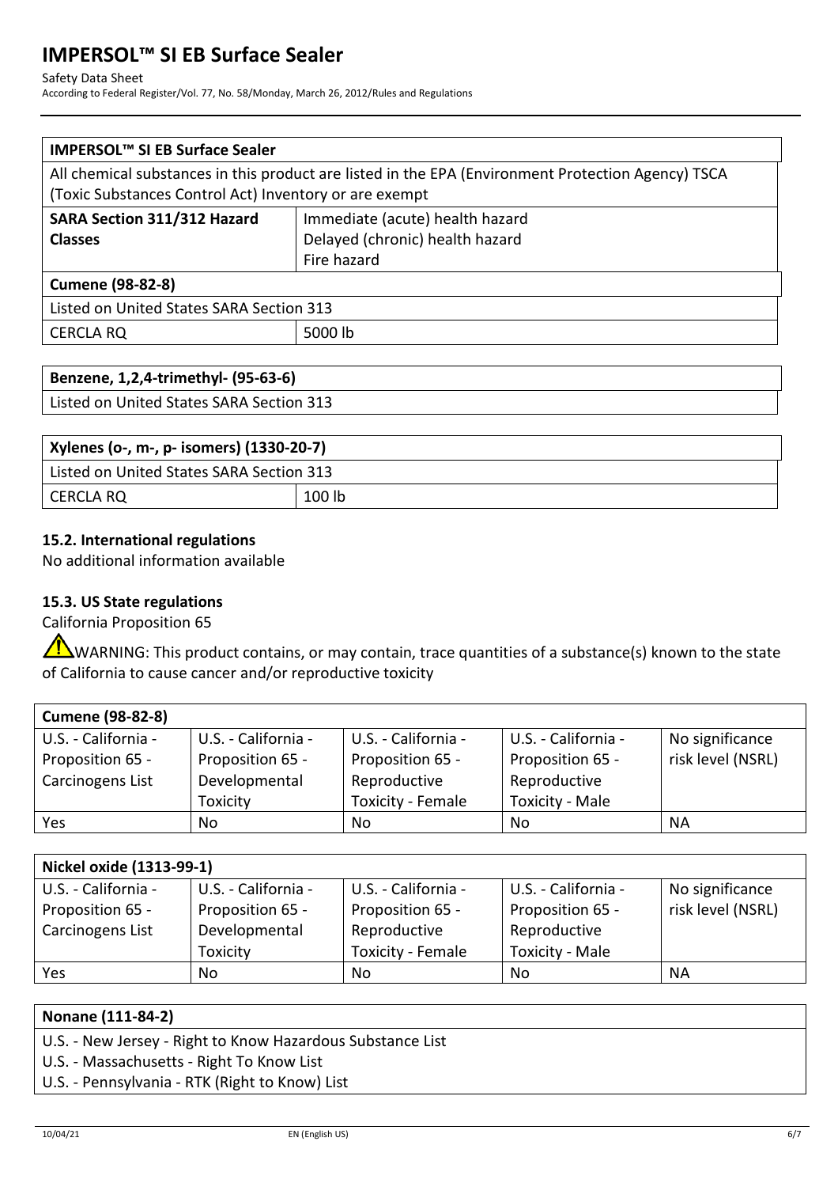#### Safety Data Sheet

According to Federal Register/Vol. 77, No. 58/Monday, March 26, 2012/Rules and Regulations

| All chemical substances in this product are listed in the EPA (Environment Protection Agency) TSCA |  |  |  |
|----------------------------------------------------------------------------------------------------|--|--|--|
| (Toxic Substances Control Act) Inventory or are exempt                                             |  |  |  |
| Immediate (acute) health hazard                                                                    |  |  |  |
| Delayed (chronic) health hazard                                                                    |  |  |  |
| Fire hazard                                                                                        |  |  |  |
| <b>Cumene (98-82-8)</b>                                                                            |  |  |  |
| Listed on United States SARA Section 313                                                           |  |  |  |
| 5000 lb                                                                                            |  |  |  |
|                                                                                                    |  |  |  |

| Benzene, 1,2,4-trimethyl- (95-63-6)      |  |
|------------------------------------------|--|
| Listed on United States SARA Section 313 |  |

| Xylenes (o-, m-, p- isomers) (1330-20-7) |        |  |  |
|------------------------------------------|--------|--|--|
| Listed on United States SARA Section 313 |        |  |  |
| I CERCLA RQ                              | 100 lb |  |  |

# **15.2. International regulations**

No additional information available

# **15.3. US State regulations**

California Proposition 65

WARNING: This product contains, or may contain, trace quantities of a substance(s) known to the state of California to cause cancer and/or reproductive toxicity

| <b>Cumene (98-82-8)</b> |                     |                     |                        |                   |
|-------------------------|---------------------|---------------------|------------------------|-------------------|
| U.S. - California -     | U.S. - California - | U.S. - California - | U.S. - California -    | No significance   |
| Proposition 65 -        | Proposition 65 -    | Proposition 65 -    | Proposition 65 -       | risk level (NSRL) |
| Carcinogens List        | Developmental       | Reproductive        | Reproductive           |                   |
|                         | Toxicity            | Toxicity - Female   | <b>Toxicity - Male</b> |                   |
| Yes                     | No                  | No                  | No                     | NА                |

| Nickel oxide (1313-99-1) |                     |                     |                     |                   |
|--------------------------|---------------------|---------------------|---------------------|-------------------|
| U.S. - California -      | U.S. - California - | U.S. - California - | U.S. - California - | No significance   |
| Proposition 65 -         | Proposition 65 -    | Proposition 65 -    | Proposition 65 -    | risk level (NSRL) |
| Carcinogens List         | Developmental       | Reproductive        | Reproductive        |                   |
|                          | Toxicity            | Toxicity - Female   | Toxicity - Male     |                   |
| Yes                      | No                  | No                  | No                  | ΝA                |
|                          |                     |                     |                     |                   |

# **Nonane (111-84-2)**

- U.S. New Jersey Right to Know Hazardous Substance List
- U.S. Massachusetts Right To Know List
- U.S. Pennsylvania RTK (Right to Know) List